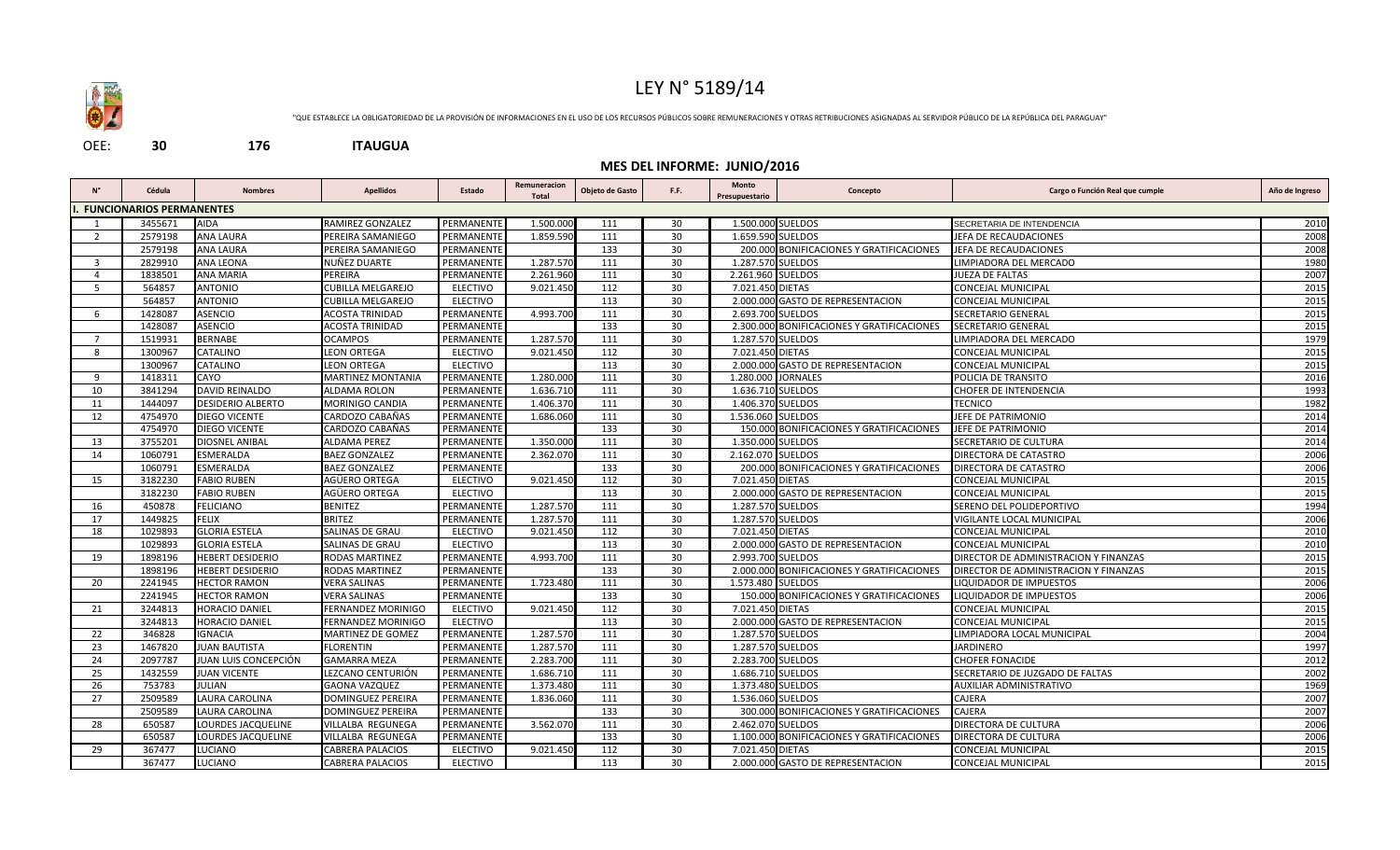

## LEY N° 5189/14

"QUE ESTABLECE LA OBLIGATORIEDAD DE LA PROVISIÓN DE INFORMACIONES EN EL USO DE LOS RECURSOS PÚBLICOS SOBRE REMUNERACIONES Y OTRAS RETRIBUCIONES ASIGNADAS AL SERVIDOR PÚBLICO DE LA REPÚBLICA DEL PARAGUAY"

OEE: **30 176 ITAUGUA**

## **MES DEL INFORME: JUNIO/2016**

| <b>FUNCIONARIOS PERMANENTES</b><br>3455671<br><b>AIDA</b><br>RAMIREZ GONZALEZ<br>PERMANENT<br>1.500.000 SUELDOS<br>1.500.000<br>30<br>SECRETARIA DE INTENDENCIA<br>111<br><b>ANA LAURA</b><br>PERMANENTE<br>1.859.590<br>111<br>30<br>1.659.590 SUELDOS<br>2579198<br>PEREIRA SAMANIEGO<br>JEFA DE RECAUDACIONES<br>2<br><b>ANA LAURA</b><br>133<br>30<br>2579198<br>PEREIRA SAMANIEGO<br>PERMANENTE<br>200.000 BONIFICACIONES Y GRATIFICACIONES<br>JEFA DE RECAUDACIONES<br>2829910<br><b>ANA LEONA</b><br>NUÑEZ DUARTE<br>PERMANENTE<br>111<br>30<br>1.287.570 SUELDOS<br>1.287.570<br>LIMPIADORA DEL MERCADO<br>3<br>30<br>1838501<br><b>ANA MARIA</b><br>PEREIRA<br>PERMANENTE<br>2.261.960<br>111<br>2.261.960 SUELDOS<br>JUEZA DE FALTAS<br>$\overline{4}$<br>$\overline{112}$<br>30<br>564857<br><b>ANTONIO</b><br><b>CUBILLA MELGAREJO</b><br><b>ELECTIVO</b><br>9.021.450<br>7.021.450 DIETAS<br><b>CONCEJAL MUNICIPAL</b><br>-5<br>564857<br><b>ANTONIO</b><br><b>ELECTIVO</b><br>113<br>30<br>2.000.000 GASTO DE REPRESENTACION<br><b>CUBILLA MELGAREJO</b><br>CONCEJAL MUNICIPAL<br><b>ASENCIO</b><br>1428087<br>111<br>30<br>2.693.700 SUELDOS<br>SECRETARIO GENERAL<br>ACOSTA TRINIDAD<br>PERMANENTI<br>4.993.700<br>6<br><b>ASENCIO</b><br>1428087<br><b>ACOSTA TRINIDAD</b><br>PERMANENTE<br>133<br>30<br>2.300.000 BONIFICACIONES Y GRATIFICACIONES<br>SECRETARIO GENERAL<br>1519931<br><b>BERNABE</b><br><b>OCAMPOS</b><br>PERMANENTE<br>1.287.570<br>111<br>30<br>1.287.570 SUELDOS<br>LIMPIADORA DEL MERCADO<br>$\overline{7}$<br>1300967<br>CATALINO<br><b>LEON ORTEGA</b><br><b>ELECTIVO</b><br>9.021.450<br>112<br>30<br>7.021.450 DIETAS<br>8<br>CONCEJAL MUNICIPAL<br>1300967<br>CATALINO<br><b>LEON ORTEGA</b><br><b>ELECTIVO</b><br>113<br>30<br>2.000.000 GASTO DE REPRESENTACION<br>CONCEJAL MUNICIPAL<br>1418311<br>CAYO<br>PERMANENTE<br>1.280.000<br>111<br>30<br>1.280.000<br>9<br><b>MARTINEZ MONTANIA</b><br><b>JORNALES</b><br>POLICIA DE TRANSITO<br><b>DAVID REINALDO</b><br>111<br>30<br>1.636.710 SUELDOS<br>3841294<br>ALDAMA ROLON<br>PERMANENTE<br>1.636.710<br>CHOFER DE INTENDENCIA<br>10<br>1444097<br>111<br>30<br>1.406.370 SUELDOS<br><b>TECNICO</b><br>11<br><b>DESIDERIO ALBERTO</b><br>MORINIGO CANDIA<br>PERMANENTI<br>1.406.370<br>30<br>12<br>4754970<br><b>DIEGO VICENTE</b><br>CARDOZO CABAÑAS<br>PERMANENTE<br>1.686.060<br>111<br>1.536.060 SUELDOS<br>JEFE DE PATRIMONIO<br>4754970<br><b>DIEGO VICENTE</b><br>CARDOZO CABAÑAS<br>PERMANENTE<br>133<br>30<br>150.000 BONIFICACIONES Y GRATIFICACIONES<br>JEFE DE PATRIMONIO<br>3755201<br>DIOSNEL ANIBAL<br><b>ALDAMA PEREZ</b><br>PERMANENTE<br>1.350.000<br>111<br>30<br>1.350.000 SUELDOS<br>SECRETARIO DE CULTURA<br>13<br>ESMERALDA<br>30<br>14<br>1060791<br><b>BAEZ GONZALEZ</b><br>PERMANENTE<br>2.362.070<br>111<br>2.162.070 SUELDOS<br>DIRECTORA DE CATASTRO | Año de Ingreso |  |  |  |  |  |  |  |  |  |  |  |
|-------------------------------------------------------------------------------------------------------------------------------------------------------------------------------------------------------------------------------------------------------------------------------------------------------------------------------------------------------------------------------------------------------------------------------------------------------------------------------------------------------------------------------------------------------------------------------------------------------------------------------------------------------------------------------------------------------------------------------------------------------------------------------------------------------------------------------------------------------------------------------------------------------------------------------------------------------------------------------------------------------------------------------------------------------------------------------------------------------------------------------------------------------------------------------------------------------------------------------------------------------------------------------------------------------------------------------------------------------------------------------------------------------------------------------------------------------------------------------------------------------------------------------------------------------------------------------------------------------------------------------------------------------------------------------------------------------------------------------------------------------------------------------------------------------------------------------------------------------------------------------------------------------------------------------------------------------------------------------------------------------------------------------------------------------------------------------------------------------------------------------------------------------------------------------------------------------------------------------------------------------------------------------------------------------------------------------------------------------------------------------------------------------------------------------------------------------------------------------------------------------------------------------------------------------------------------------------------------------------------------------------------------------------------------------------------------------------------------------------------------------------------------------------------------------------------------------------------------------------------------------------|----------------|--|--|--|--|--|--|--|--|--|--|--|
|                                                                                                                                                                                                                                                                                                                                                                                                                                                                                                                                                                                                                                                                                                                                                                                                                                                                                                                                                                                                                                                                                                                                                                                                                                                                                                                                                                                                                                                                                                                                                                                                                                                                                                                                                                                                                                                                                                                                                                                                                                                                                                                                                                                                                                                                                                                                                                                                                                                                                                                                                                                                                                                                                                                                                                                                                                                                                     |                |  |  |  |  |  |  |  |  |  |  |  |
|                                                                                                                                                                                                                                                                                                                                                                                                                                                                                                                                                                                                                                                                                                                                                                                                                                                                                                                                                                                                                                                                                                                                                                                                                                                                                                                                                                                                                                                                                                                                                                                                                                                                                                                                                                                                                                                                                                                                                                                                                                                                                                                                                                                                                                                                                                                                                                                                                                                                                                                                                                                                                                                                                                                                                                                                                                                                                     | 2010           |  |  |  |  |  |  |  |  |  |  |  |
|                                                                                                                                                                                                                                                                                                                                                                                                                                                                                                                                                                                                                                                                                                                                                                                                                                                                                                                                                                                                                                                                                                                                                                                                                                                                                                                                                                                                                                                                                                                                                                                                                                                                                                                                                                                                                                                                                                                                                                                                                                                                                                                                                                                                                                                                                                                                                                                                                                                                                                                                                                                                                                                                                                                                                                                                                                                                                     | 2008           |  |  |  |  |  |  |  |  |  |  |  |
|                                                                                                                                                                                                                                                                                                                                                                                                                                                                                                                                                                                                                                                                                                                                                                                                                                                                                                                                                                                                                                                                                                                                                                                                                                                                                                                                                                                                                                                                                                                                                                                                                                                                                                                                                                                                                                                                                                                                                                                                                                                                                                                                                                                                                                                                                                                                                                                                                                                                                                                                                                                                                                                                                                                                                                                                                                                                                     | 2008           |  |  |  |  |  |  |  |  |  |  |  |
|                                                                                                                                                                                                                                                                                                                                                                                                                                                                                                                                                                                                                                                                                                                                                                                                                                                                                                                                                                                                                                                                                                                                                                                                                                                                                                                                                                                                                                                                                                                                                                                                                                                                                                                                                                                                                                                                                                                                                                                                                                                                                                                                                                                                                                                                                                                                                                                                                                                                                                                                                                                                                                                                                                                                                                                                                                                                                     | 1980           |  |  |  |  |  |  |  |  |  |  |  |
|                                                                                                                                                                                                                                                                                                                                                                                                                                                                                                                                                                                                                                                                                                                                                                                                                                                                                                                                                                                                                                                                                                                                                                                                                                                                                                                                                                                                                                                                                                                                                                                                                                                                                                                                                                                                                                                                                                                                                                                                                                                                                                                                                                                                                                                                                                                                                                                                                                                                                                                                                                                                                                                                                                                                                                                                                                                                                     | 2007           |  |  |  |  |  |  |  |  |  |  |  |
|                                                                                                                                                                                                                                                                                                                                                                                                                                                                                                                                                                                                                                                                                                                                                                                                                                                                                                                                                                                                                                                                                                                                                                                                                                                                                                                                                                                                                                                                                                                                                                                                                                                                                                                                                                                                                                                                                                                                                                                                                                                                                                                                                                                                                                                                                                                                                                                                                                                                                                                                                                                                                                                                                                                                                                                                                                                                                     | 2015           |  |  |  |  |  |  |  |  |  |  |  |
|                                                                                                                                                                                                                                                                                                                                                                                                                                                                                                                                                                                                                                                                                                                                                                                                                                                                                                                                                                                                                                                                                                                                                                                                                                                                                                                                                                                                                                                                                                                                                                                                                                                                                                                                                                                                                                                                                                                                                                                                                                                                                                                                                                                                                                                                                                                                                                                                                                                                                                                                                                                                                                                                                                                                                                                                                                                                                     | 2015           |  |  |  |  |  |  |  |  |  |  |  |
|                                                                                                                                                                                                                                                                                                                                                                                                                                                                                                                                                                                                                                                                                                                                                                                                                                                                                                                                                                                                                                                                                                                                                                                                                                                                                                                                                                                                                                                                                                                                                                                                                                                                                                                                                                                                                                                                                                                                                                                                                                                                                                                                                                                                                                                                                                                                                                                                                                                                                                                                                                                                                                                                                                                                                                                                                                                                                     | 2015           |  |  |  |  |  |  |  |  |  |  |  |
|                                                                                                                                                                                                                                                                                                                                                                                                                                                                                                                                                                                                                                                                                                                                                                                                                                                                                                                                                                                                                                                                                                                                                                                                                                                                                                                                                                                                                                                                                                                                                                                                                                                                                                                                                                                                                                                                                                                                                                                                                                                                                                                                                                                                                                                                                                                                                                                                                                                                                                                                                                                                                                                                                                                                                                                                                                                                                     | 2015           |  |  |  |  |  |  |  |  |  |  |  |
|                                                                                                                                                                                                                                                                                                                                                                                                                                                                                                                                                                                                                                                                                                                                                                                                                                                                                                                                                                                                                                                                                                                                                                                                                                                                                                                                                                                                                                                                                                                                                                                                                                                                                                                                                                                                                                                                                                                                                                                                                                                                                                                                                                                                                                                                                                                                                                                                                                                                                                                                                                                                                                                                                                                                                                                                                                                                                     | 1979           |  |  |  |  |  |  |  |  |  |  |  |
|                                                                                                                                                                                                                                                                                                                                                                                                                                                                                                                                                                                                                                                                                                                                                                                                                                                                                                                                                                                                                                                                                                                                                                                                                                                                                                                                                                                                                                                                                                                                                                                                                                                                                                                                                                                                                                                                                                                                                                                                                                                                                                                                                                                                                                                                                                                                                                                                                                                                                                                                                                                                                                                                                                                                                                                                                                                                                     | 2015           |  |  |  |  |  |  |  |  |  |  |  |
|                                                                                                                                                                                                                                                                                                                                                                                                                                                                                                                                                                                                                                                                                                                                                                                                                                                                                                                                                                                                                                                                                                                                                                                                                                                                                                                                                                                                                                                                                                                                                                                                                                                                                                                                                                                                                                                                                                                                                                                                                                                                                                                                                                                                                                                                                                                                                                                                                                                                                                                                                                                                                                                                                                                                                                                                                                                                                     | 2015           |  |  |  |  |  |  |  |  |  |  |  |
|                                                                                                                                                                                                                                                                                                                                                                                                                                                                                                                                                                                                                                                                                                                                                                                                                                                                                                                                                                                                                                                                                                                                                                                                                                                                                                                                                                                                                                                                                                                                                                                                                                                                                                                                                                                                                                                                                                                                                                                                                                                                                                                                                                                                                                                                                                                                                                                                                                                                                                                                                                                                                                                                                                                                                                                                                                                                                     | 2016           |  |  |  |  |  |  |  |  |  |  |  |
|                                                                                                                                                                                                                                                                                                                                                                                                                                                                                                                                                                                                                                                                                                                                                                                                                                                                                                                                                                                                                                                                                                                                                                                                                                                                                                                                                                                                                                                                                                                                                                                                                                                                                                                                                                                                                                                                                                                                                                                                                                                                                                                                                                                                                                                                                                                                                                                                                                                                                                                                                                                                                                                                                                                                                                                                                                                                                     | 1993           |  |  |  |  |  |  |  |  |  |  |  |
|                                                                                                                                                                                                                                                                                                                                                                                                                                                                                                                                                                                                                                                                                                                                                                                                                                                                                                                                                                                                                                                                                                                                                                                                                                                                                                                                                                                                                                                                                                                                                                                                                                                                                                                                                                                                                                                                                                                                                                                                                                                                                                                                                                                                                                                                                                                                                                                                                                                                                                                                                                                                                                                                                                                                                                                                                                                                                     | 1982           |  |  |  |  |  |  |  |  |  |  |  |
|                                                                                                                                                                                                                                                                                                                                                                                                                                                                                                                                                                                                                                                                                                                                                                                                                                                                                                                                                                                                                                                                                                                                                                                                                                                                                                                                                                                                                                                                                                                                                                                                                                                                                                                                                                                                                                                                                                                                                                                                                                                                                                                                                                                                                                                                                                                                                                                                                                                                                                                                                                                                                                                                                                                                                                                                                                                                                     | 2014           |  |  |  |  |  |  |  |  |  |  |  |
|                                                                                                                                                                                                                                                                                                                                                                                                                                                                                                                                                                                                                                                                                                                                                                                                                                                                                                                                                                                                                                                                                                                                                                                                                                                                                                                                                                                                                                                                                                                                                                                                                                                                                                                                                                                                                                                                                                                                                                                                                                                                                                                                                                                                                                                                                                                                                                                                                                                                                                                                                                                                                                                                                                                                                                                                                                                                                     | 2014           |  |  |  |  |  |  |  |  |  |  |  |
|                                                                                                                                                                                                                                                                                                                                                                                                                                                                                                                                                                                                                                                                                                                                                                                                                                                                                                                                                                                                                                                                                                                                                                                                                                                                                                                                                                                                                                                                                                                                                                                                                                                                                                                                                                                                                                                                                                                                                                                                                                                                                                                                                                                                                                                                                                                                                                                                                                                                                                                                                                                                                                                                                                                                                                                                                                                                                     | 2014           |  |  |  |  |  |  |  |  |  |  |  |
|                                                                                                                                                                                                                                                                                                                                                                                                                                                                                                                                                                                                                                                                                                                                                                                                                                                                                                                                                                                                                                                                                                                                                                                                                                                                                                                                                                                                                                                                                                                                                                                                                                                                                                                                                                                                                                                                                                                                                                                                                                                                                                                                                                                                                                                                                                                                                                                                                                                                                                                                                                                                                                                                                                                                                                                                                                                                                     | 2006           |  |  |  |  |  |  |  |  |  |  |  |
| 1060791<br><b>ESMERALDA</b><br><b>BAEZ GONZALEZ</b><br>PERMANENTE<br>133<br>30<br>200.000 BONIFICACIONES Y GRATIFICACIONES<br>DIRECTORA DE CATASTRO                                                                                                                                                                                                                                                                                                                                                                                                                                                                                                                                                                                                                                                                                                                                                                                                                                                                                                                                                                                                                                                                                                                                                                                                                                                                                                                                                                                                                                                                                                                                                                                                                                                                                                                                                                                                                                                                                                                                                                                                                                                                                                                                                                                                                                                                                                                                                                                                                                                                                                                                                                                                                                                                                                                                 | 2006           |  |  |  |  |  |  |  |  |  |  |  |
| 7.021.450 DIETAS<br>3182230<br><b>FABIO RUBEN</b><br>AGÜERO ORTEGA<br><b>ELECTIVO</b><br>9.021.450<br>112<br>30<br>CONCEJAL MUNICIPAL<br>15                                                                                                                                                                                                                                                                                                                                                                                                                                                                                                                                                                                                                                                                                                                                                                                                                                                                                                                                                                                                                                                                                                                                                                                                                                                                                                                                                                                                                                                                                                                                                                                                                                                                                                                                                                                                                                                                                                                                                                                                                                                                                                                                                                                                                                                                                                                                                                                                                                                                                                                                                                                                                                                                                                                                         | 2015           |  |  |  |  |  |  |  |  |  |  |  |
| $\overline{113}$<br>30<br>3182230<br><b>FABIO RUBEN</b><br>AGÜERO ORTEGA<br><b>ELECTIVO</b><br>2.000.000 GASTO DE REPRESENTACION<br><b>CONCEJAL MUNICIPAL</b>                                                                                                                                                                                                                                                                                                                                                                                                                                                                                                                                                                                                                                                                                                                                                                                                                                                                                                                                                                                                                                                                                                                                                                                                                                                                                                                                                                                                                                                                                                                                                                                                                                                                                                                                                                                                                                                                                                                                                                                                                                                                                                                                                                                                                                                                                                                                                                                                                                                                                                                                                                                                                                                                                                                       | 2015           |  |  |  |  |  |  |  |  |  |  |  |
| <b>FELICIANO</b><br><b>BENITEZ</b><br>450878<br><b>PERMANENT</b><br>1.287.570<br>111<br>30<br>1.287.570 SUELDOS<br>SERENO DEL POLIDEPORTIVO<br>16                                                                                                                                                                                                                                                                                                                                                                                                                                                                                                                                                                                                                                                                                                                                                                                                                                                                                                                                                                                                                                                                                                                                                                                                                                                                                                                                                                                                                                                                                                                                                                                                                                                                                                                                                                                                                                                                                                                                                                                                                                                                                                                                                                                                                                                                                                                                                                                                                                                                                                                                                                                                                                                                                                                                   | 1994           |  |  |  |  |  |  |  |  |  |  |  |
| 1449825<br><b>FELIX</b><br><b>BRITEZ</b><br>PERMANENTI<br>1.287.570<br>111<br>30<br>1.287.570 SUELDOS<br>17<br>VIGILANTE LOCAL MUNICIPAL                                                                                                                                                                                                                                                                                                                                                                                                                                                                                                                                                                                                                                                                                                                                                                                                                                                                                                                                                                                                                                                                                                                                                                                                                                                                                                                                                                                                                                                                                                                                                                                                                                                                                                                                                                                                                                                                                                                                                                                                                                                                                                                                                                                                                                                                                                                                                                                                                                                                                                                                                                                                                                                                                                                                            | 2006           |  |  |  |  |  |  |  |  |  |  |  |
| <b>GLORIA ESTELA</b><br><b>SALINAS DE GRAU</b><br>112<br>30<br>18<br>1029893<br><b>ELECTIVO</b><br>9.021.450<br>7.021.450 DIETAS<br>CONCEJAL MUNICIPAL                                                                                                                                                                                                                                                                                                                                                                                                                                                                                                                                                                                                                                                                                                                                                                                                                                                                                                                                                                                                                                                                                                                                                                                                                                                                                                                                                                                                                                                                                                                                                                                                                                                                                                                                                                                                                                                                                                                                                                                                                                                                                                                                                                                                                                                                                                                                                                                                                                                                                                                                                                                                                                                                                                                              | 2010           |  |  |  |  |  |  |  |  |  |  |  |
| 2.000.000 GASTO DE REPRESENTACION<br>1029893<br><b>GLORIA ESTELA</b><br>SALINAS DE GRAU<br><b>ELECTIVO</b><br>113<br>30<br>CONCEJAL MUNICIPAL                                                                                                                                                                                                                                                                                                                                                                                                                                                                                                                                                                                                                                                                                                                                                                                                                                                                                                                                                                                                                                                                                                                                                                                                                                                                                                                                                                                                                                                                                                                                                                                                                                                                                                                                                                                                                                                                                                                                                                                                                                                                                                                                                                                                                                                                                                                                                                                                                                                                                                                                                                                                                                                                                                                                       | 2010           |  |  |  |  |  |  |  |  |  |  |  |
| 30<br>2.993.700 SUELDOS<br>1898196<br><b>HEBERT DESIDERIO</b><br>RODAS MARTINEZ<br>PERMANENTI<br>4.993.700<br>111<br>DIRECTOR DE ADMINISTRACION Y FINANZAS<br>19                                                                                                                                                                                                                                                                                                                                                                                                                                                                                                                                                                                                                                                                                                                                                                                                                                                                                                                                                                                                                                                                                                                                                                                                                                                                                                                                                                                                                                                                                                                                                                                                                                                                                                                                                                                                                                                                                                                                                                                                                                                                                                                                                                                                                                                                                                                                                                                                                                                                                                                                                                                                                                                                                                                    | 2015           |  |  |  |  |  |  |  |  |  |  |  |
| 133<br>30<br>2.000.000 BONIFICACIONES Y GRATIFICACIONES<br>1898196<br><b>HEBERT DESIDERIO</b><br><b>RODAS MARTINEZ</b><br>PERMANENTE<br>DIRECTOR DE ADMINISTRACION Y FINANZAS                                                                                                                                                                                                                                                                                                                                                                                                                                                                                                                                                                                                                                                                                                                                                                                                                                                                                                                                                                                                                                                                                                                                                                                                                                                                                                                                                                                                                                                                                                                                                                                                                                                                                                                                                                                                                                                                                                                                                                                                                                                                                                                                                                                                                                                                                                                                                                                                                                                                                                                                                                                                                                                                                                       | 2015           |  |  |  |  |  |  |  |  |  |  |  |
| 111<br>30<br>1.573.480 SUELDOS<br>2241945<br><b>HECTOR RAMON</b><br><b>VERA SALINAS</b><br>PERMANENTE<br>1.723.480<br>LIQUIDADOR DE IMPUESTOS<br>20                                                                                                                                                                                                                                                                                                                                                                                                                                                                                                                                                                                                                                                                                                                                                                                                                                                                                                                                                                                                                                                                                                                                                                                                                                                                                                                                                                                                                                                                                                                                                                                                                                                                                                                                                                                                                                                                                                                                                                                                                                                                                                                                                                                                                                                                                                                                                                                                                                                                                                                                                                                                                                                                                                                                 | 2006           |  |  |  |  |  |  |  |  |  |  |  |
| 133<br>30<br>2241945<br><b>HECTOR RAMON</b><br><b>VERA SALINAS</b><br>PERMANENTE<br>150.000 BONIFICACIONES Y GRATIFICACIONES<br><b>LIQUIDADOR DE IMPUESTOS</b>                                                                                                                                                                                                                                                                                                                                                                                                                                                                                                                                                                                                                                                                                                                                                                                                                                                                                                                                                                                                                                                                                                                                                                                                                                                                                                                                                                                                                                                                                                                                                                                                                                                                                                                                                                                                                                                                                                                                                                                                                                                                                                                                                                                                                                                                                                                                                                                                                                                                                                                                                                                                                                                                                                                      | 2006           |  |  |  |  |  |  |  |  |  |  |  |
| 112<br>30<br>7.021.450 DIETAS<br>3244813<br><b>HORACIO DANIEL</b><br><b>FERNANDEZ MORINIGO</b><br><b>ELECTIVO</b><br>9.021.450<br><b>CONCEJAL MUNICIPAL</b><br>21                                                                                                                                                                                                                                                                                                                                                                                                                                                                                                                                                                                                                                                                                                                                                                                                                                                                                                                                                                                                                                                                                                                                                                                                                                                                                                                                                                                                                                                                                                                                                                                                                                                                                                                                                                                                                                                                                                                                                                                                                                                                                                                                                                                                                                                                                                                                                                                                                                                                                                                                                                                                                                                                                                                   | 2015           |  |  |  |  |  |  |  |  |  |  |  |
| 3244813<br><b>HORACIO DANIEL</b><br><b>FERNANDEZ MORINIGO</b><br>113<br>30<br>2.000.000<br><b>GASTO DE REPRESENTACION</b><br><b>ELECTIVO</b><br>CONCEJAL MUNICIPAL                                                                                                                                                                                                                                                                                                                                                                                                                                                                                                                                                                                                                                                                                                                                                                                                                                                                                                                                                                                                                                                                                                                                                                                                                                                                                                                                                                                                                                                                                                                                                                                                                                                                                                                                                                                                                                                                                                                                                                                                                                                                                                                                                                                                                                                                                                                                                                                                                                                                                                                                                                                                                                                                                                                  | 2015           |  |  |  |  |  |  |  |  |  |  |  |
| 1.287.570<br>30<br>1.287.570 SUELDOS<br>346828<br><b>IGNACIA</b><br>MARTINEZ DE GOMEZ<br>PERMANENTE<br>111<br>LIMPIADORA LOCAL MUNICIPAL<br>22                                                                                                                                                                                                                                                                                                                                                                                                                                                                                                                                                                                                                                                                                                                                                                                                                                                                                                                                                                                                                                                                                                                                                                                                                                                                                                                                                                                                                                                                                                                                                                                                                                                                                                                                                                                                                                                                                                                                                                                                                                                                                                                                                                                                                                                                                                                                                                                                                                                                                                                                                                                                                                                                                                                                      | 2004           |  |  |  |  |  |  |  |  |  |  |  |
| <b>JUAN BAUTISTA</b><br><b>FLORENTIN</b><br>1.287.570<br>111<br>30<br>1.287.570 SUELDOS<br><b>JARDINERO</b><br>23<br>1467820<br>PERMANENTE                                                                                                                                                                                                                                                                                                                                                                                                                                                                                                                                                                                                                                                                                                                                                                                                                                                                                                                                                                                                                                                                                                                                                                                                                                                                                                                                                                                                                                                                                                                                                                                                                                                                                                                                                                                                                                                                                                                                                                                                                                                                                                                                                                                                                                                                                                                                                                                                                                                                                                                                                                                                                                                                                                                                          | 1997           |  |  |  |  |  |  |  |  |  |  |  |
| 30<br>2.283.700 SUELDOS<br>24<br>2097787<br>JUAN LUIS CONCEPCIÓN<br><b>GAMARRA MEZA</b><br>PERMANENTE<br>2.283.700<br>111<br><b>CHOFER FONACIDE</b>                                                                                                                                                                                                                                                                                                                                                                                                                                                                                                                                                                                                                                                                                                                                                                                                                                                                                                                                                                                                                                                                                                                                                                                                                                                                                                                                                                                                                                                                                                                                                                                                                                                                                                                                                                                                                                                                                                                                                                                                                                                                                                                                                                                                                                                                                                                                                                                                                                                                                                                                                                                                                                                                                                                                 | 2012           |  |  |  |  |  |  |  |  |  |  |  |
| 30<br>1432559<br>LEZCANO CENTURIÓN<br>1.686.710<br>111<br>1.686.710 SUELDOS<br>25<br><b>JUAN VICENTE</b><br>PERMANENTI<br>SECRETARIO DE JUZGADO DE FALTAS                                                                                                                                                                                                                                                                                                                                                                                                                                                                                                                                                                                                                                                                                                                                                                                                                                                                                                                                                                                                                                                                                                                                                                                                                                                                                                                                                                                                                                                                                                                                                                                                                                                                                                                                                                                                                                                                                                                                                                                                                                                                                                                                                                                                                                                                                                                                                                                                                                                                                                                                                                                                                                                                                                                           | 2002           |  |  |  |  |  |  |  |  |  |  |  |
| 753783<br>30<br>1.373.480 SUELDOS<br>26<br>JULIAN<br><b>GAONA VAZQUEZ</b><br>PERMANENTE<br>1.373.480<br>111<br>AUXILIAR ADMINISTRATIVO                                                                                                                                                                                                                                                                                                                                                                                                                                                                                                                                                                                                                                                                                                                                                                                                                                                                                                                                                                                                                                                                                                                                                                                                                                                                                                                                                                                                                                                                                                                                                                                                                                                                                                                                                                                                                                                                                                                                                                                                                                                                                                                                                                                                                                                                                                                                                                                                                                                                                                                                                                                                                                                                                                                                              | 1969           |  |  |  |  |  |  |  |  |  |  |  |
| 30<br>27<br>2509589<br>LAURA CAROLINA<br><b>DOMINGUEZ PEREIRA</b><br>PERMANENTE<br>1.836.060<br>111<br>1.536.060 SUELDOS<br>CAJERA                                                                                                                                                                                                                                                                                                                                                                                                                                                                                                                                                                                                                                                                                                                                                                                                                                                                                                                                                                                                                                                                                                                                                                                                                                                                                                                                                                                                                                                                                                                                                                                                                                                                                                                                                                                                                                                                                                                                                                                                                                                                                                                                                                                                                                                                                                                                                                                                                                                                                                                                                                                                                                                                                                                                                  | 2007           |  |  |  |  |  |  |  |  |  |  |  |
| 2509589<br><b>LAURA CAROLINA</b><br>PERMANENTE<br>133<br>30<br>300.000 BONIFICACIONES Y GRATIFICACIONES<br>CAJERA<br><b>DOMINGUEZ PEREIRA</b>                                                                                                                                                                                                                                                                                                                                                                                                                                                                                                                                                                                                                                                                                                                                                                                                                                                                                                                                                                                                                                                                                                                                                                                                                                                                                                                                                                                                                                                                                                                                                                                                                                                                                                                                                                                                                                                                                                                                                                                                                                                                                                                                                                                                                                                                                                                                                                                                                                                                                                                                                                                                                                                                                                                                       | 2007           |  |  |  |  |  |  |  |  |  |  |  |
| 30<br>2.462.070 SUELDOS<br>28<br>650587<br>LOURDES JACQUELINE<br>VILLALBA REGUNEGA<br>PERMANENTE<br>3.562.070<br>111<br>DIRECTORA DE CULTURA                                                                                                                                                                                                                                                                                                                                                                                                                                                                                                                                                                                                                                                                                                                                                                                                                                                                                                                                                                                                                                                                                                                                                                                                                                                                                                                                                                                                                                                                                                                                                                                                                                                                                                                                                                                                                                                                                                                                                                                                                                                                                                                                                                                                                                                                                                                                                                                                                                                                                                                                                                                                                                                                                                                                        | 2006           |  |  |  |  |  |  |  |  |  |  |  |
| LOURDES JACQUELINE<br><b>VILLALBA REGUNEGA</b><br>PERMANENTE<br>133<br>30<br>650587<br>1.100.000 BONIFICACIONES Y GRATIFICACIONES<br>DIRECTORA DE CULTURA                                                                                                                                                                                                                                                                                                                                                                                                                                                                                                                                                                                                                                                                                                                                                                                                                                                                                                                                                                                                                                                                                                                                                                                                                                                                                                                                                                                                                                                                                                                                                                                                                                                                                                                                                                                                                                                                                                                                                                                                                                                                                                                                                                                                                                                                                                                                                                                                                                                                                                                                                                                                                                                                                                                           | 2006           |  |  |  |  |  |  |  |  |  |  |  |
| 112<br>30<br>29<br>367477<br>LUCIANO<br>CABRERA PALACIOS<br><b>ELECTIVO</b><br>9.021.450<br>7.021.450 DIETAS<br>CONCEJAL MUNICIPAL                                                                                                                                                                                                                                                                                                                                                                                                                                                                                                                                                                                                                                                                                                                                                                                                                                                                                                                                                                                                                                                                                                                                                                                                                                                                                                                                                                                                                                                                                                                                                                                                                                                                                                                                                                                                                                                                                                                                                                                                                                                                                                                                                                                                                                                                                                                                                                                                                                                                                                                                                                                                                                                                                                                                                  | 2015           |  |  |  |  |  |  |  |  |  |  |  |
| 113<br>367477<br>LUCIANO<br>CABRERA PALACIOS<br><b>ELECTIVO</b><br>30<br>2.000.000 GASTO DE REPRESENTACION<br>CONCEJAL MUNICIPAL                                                                                                                                                                                                                                                                                                                                                                                                                                                                                                                                                                                                                                                                                                                                                                                                                                                                                                                                                                                                                                                                                                                                                                                                                                                                                                                                                                                                                                                                                                                                                                                                                                                                                                                                                                                                                                                                                                                                                                                                                                                                                                                                                                                                                                                                                                                                                                                                                                                                                                                                                                                                                                                                                                                                                    | 2015           |  |  |  |  |  |  |  |  |  |  |  |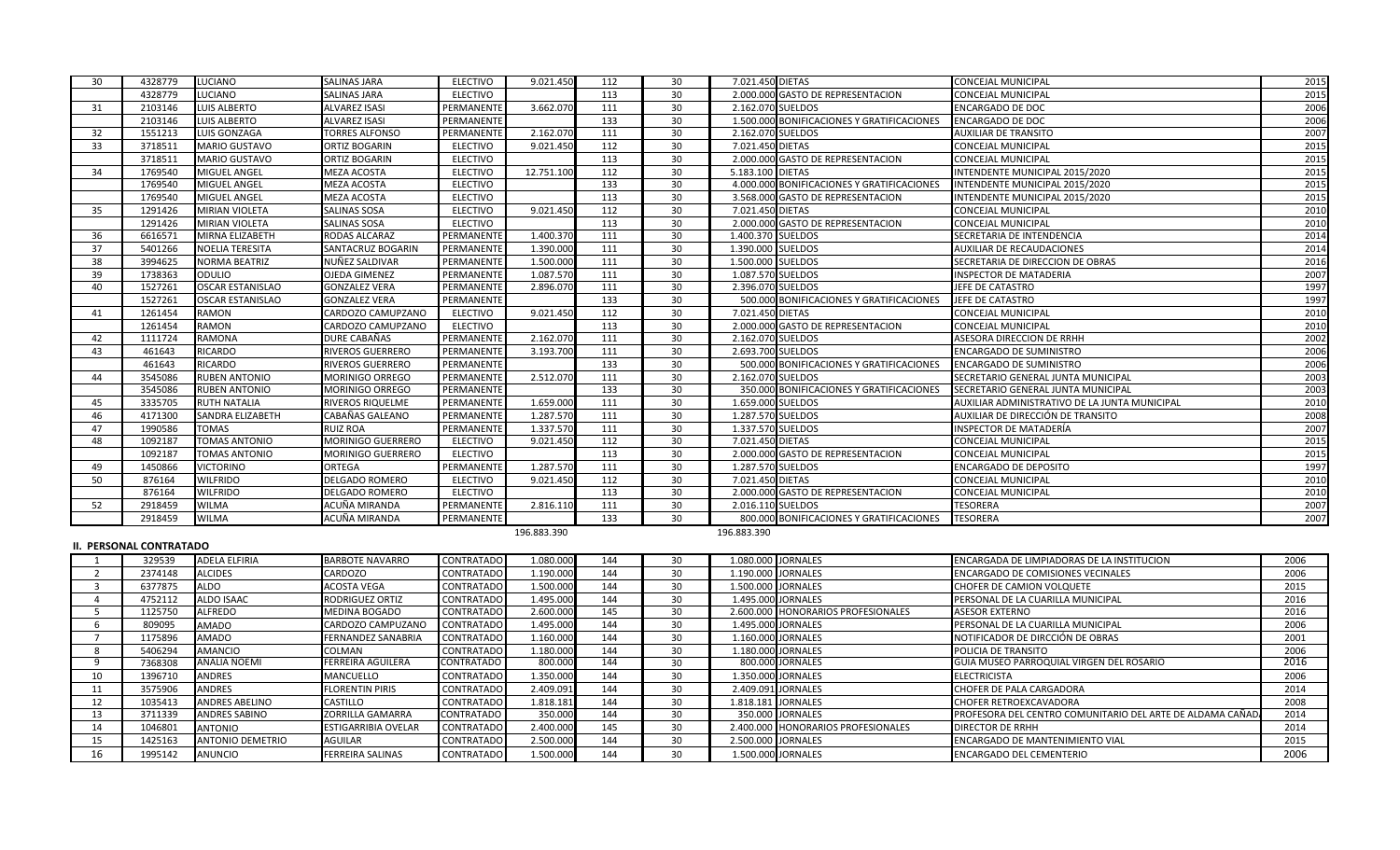| 30 | 4328779 | <b>LUCIANO</b>          | <b>SALINAS JARA</b>     | <b>ELECTIVO</b> | 9.021.450   | 112 | 30 | 7.021.450 DIETAS                           | <b>CONCEJAL MUNICIPAL</b>                     | 2015 |
|----|---------|-------------------------|-------------------------|-----------------|-------------|-----|----|--------------------------------------------|-----------------------------------------------|------|
|    | 4328779 | <b>LUCIANO</b>          | <b>SALINAS JARA</b>     | <b>ELECTIVO</b> |             | 113 | 30 | 2.000.000 GASTO DE REPRESENTACION          | CONCEJAL MUNICIPAL                            | 2015 |
| 31 | 2103146 | <b>LUIS ALBERTO</b>     | <b>ALVAREZ ISASI</b>    | PERMANENTE      | 3.662.070   | 111 | 30 | 2.162.070 SUELDOS                          | <b>ENCARGADO DE DOC</b>                       | 2006 |
|    | 2103146 | <b>LUIS ALBERTO</b>     | <b>ALVAREZ ISASI</b>    | PERMANENTE      |             | 133 | 30 | 1.500.000 BONIFICACIONES Y GRATIFICACIONES | <b>ENCARGADO DE DOC</b>                       | 2006 |
| 32 | 1551213 | <b>LUIS GONZAGA</b>     | <b>TORRES ALFONSO</b>   | PERMANENTE      | 2.162.070   | 111 | 30 | 2.162.070 SUELDOS                          | <b>AUXILIAR DE TRANSITO</b>                   | 2007 |
| 33 | 3718511 | <b>MARIO GUSTAVO</b>    | <b>ORTIZ BOGARIN</b>    | <b>ELECTIVO</b> | 9.021.450   | 112 | 30 | 7.021.450 DIETAS                           | <b>CONCEJAL MUNICIPAL</b>                     | 2015 |
|    | 3718511 | <b>MARIO GUSTAVO</b>    | <b>ORTIZ BOGARIN</b>    | <b>ELECTIVO</b> |             | 113 | 30 | 2.000.000 GASTO DE REPRESENTACION          | <b>CONCEJAL MUNICIPAL</b>                     | 2015 |
| 34 | 1769540 | <b>MIGUEL ANGEL</b>     | <b>MEZA ACOSTA</b>      | <b>ELECTIVO</b> | 12.751.100  | 112 | 30 | 5.183.100 DIETAS                           | INTENDENTE MUNICIPAL 2015/2020                | 2015 |
|    | 1769540 | MIGUEL ANGEL            | <b>MEZA ACOSTA</b>      | <b>ELECTIVO</b> |             | 133 | 30 | 4.000.000 BONIFICACIONES Y GRATIFICACIONES | INTENDENTE MUNICIPAL 2015/2020                | 2015 |
|    | 1769540 | MIGUEL ANGEL            | <b>MEZA ACOSTA</b>      | <b>ELECTIVO</b> |             | 113 | 30 | 3.568.000 GASTO DE REPRESENTACION          | INTENDENTE MUNICIPAL 2015/2020                | 2015 |
| 35 | 1291426 | <b>MIRIAN VIOLETA</b>   | <b>SALINAS SOSA</b>     | <b>ELECTIVO</b> | 9.021.450   | 112 | 30 | 7.021.450 DIETAS                           | CONCEJAL MUNICIPAL                            | 2010 |
|    | 1291426 | <b>MIRIAN VIOLETA</b>   | SALINAS SOSA            | <b>ELECTIVO</b> |             | 113 | 30 | 2.000.000 GASTO DE REPRESENTACION          | <b>CONCEJAL MUNICIPAL</b>                     | 2010 |
| 36 | 6616571 | <b>MIRNA ELIZABETH</b>  | RODAS ALCARAZ           | PERMANENTE      | 1.400.370   | 111 | 30 | 1.400.370 SUELDOS                          | SECRETARIA DE INTENDENCIA                     | 2014 |
| 37 | 5401266 | <b>NOELIA TERESITA</b>  | SANTACRUZ BOGARIN       | PERMANENTE      | 1.390.000   | 111 | 30 | 1.390.000 SUELDOS                          | <b>AUXILIAR DE RECAUDACIONES</b>              | 2014 |
| 38 | 3994625 | <b>NORMA BEATRIZ</b>    | NUÑEZ SALDIVAR          | PERMANENTE      | 1.500.000   | 111 | 30 | 1.500.000 SUELDOS                          | SECRETARIA DE DIRECCION DE OBRAS              | 2016 |
| 39 | 1738363 | <b>ODULIO</b>           | <b>OJEDA GIMENEZ</b>    | PERMANENTE      | 1.087.570   | 111 | 30 | 1.087.570 SUELDOS                          | INSPECTOR DE MATADERIA                        | 2007 |
| 40 | 1527261 | <b>OSCAR ESTANISLAO</b> | <b>GONZALEZ VERA</b>    | PERMANENTE      | 2.896.070   | 111 | 30 | 2.396.070 SUELDOS                          | JEFE DE CATASTRO                              | 1997 |
|    | 1527261 | <b>OSCAR ESTANISLAO</b> | <b>GONZALEZ VERA</b>    | PERMANENTE      |             | 133 | 30 | 500.000 BONIFICACIONES Y GRATIFICACIONES   | JEFE DE CATASTRO                              | 1997 |
| 41 | 1261454 | <b>RAMON</b>            | CARDOZO CAMUPZANO       | <b>ELECTIVO</b> | 9.021.450   | 112 | 30 | 7.021.450 DIETAS                           | <b>CONCEJAL MUNICIPAL</b>                     | 2010 |
|    | 1261454 | <b>RAMON</b>            | CARDOZO CAMUPZANO       | <b>ELECTIVO</b> |             | 113 | 30 | 2.000.000 GASTO DE REPRESENTACION          | <b>CONCEJAL MUNICIPAL</b>                     | 2010 |
| 42 | 1111724 | <b>RAMONA</b>           | DURE CABAÑAS            | PERMANENTE      | 2.162.070   | 111 | 30 | 2.162.070 SUELDOS                          | ASESORA DIRECCION DE RRHH                     | 2002 |
| 43 | 461643  | <b>RICARDO</b>          | <b>RIVEROS GUERRERO</b> | PERMANENTE      | 3.193.700   | 111 | 30 | 2.693.700 SUELDOS                          | <b>ENCARGADO DE SUMINISTRO</b>                | 2006 |
|    | 461643  | <b>RICARDO</b>          | <b>RIVEROS GUERRERO</b> | PERMANENTE      |             | 133 | 30 | 500.000 BONIFICACIONES Y GRATIFICACIONES   | <b>ENCARGADO DE SUMINISTRO</b>                | 2006 |
| 44 | 3545086 | <b>RUBEN ANTONIO</b>    | <b>MORINIGO ORREGO</b>  | PERMANENTE      | 2.512.070   | 111 | 30 | 2.162.070 SUELDOS                          | SECRETARIO GENERAL JUNTA MUNICIPAL            | 2003 |
|    | 3545086 | <b>RUBEN ANTONIO</b>    | <b>MORINIGO ORREGO</b>  | PERMANENTE      |             | 133 | 30 | 350.000 BONIFICACIONES Y GRATIFICACIONES   | SECRETARIO GENERAL JUNTA MUNICIPAL            | 2003 |
| 45 | 3335705 | <b>RUTH NATALIA</b>     | <b>RIVEROS RIQUELME</b> | PERMANENTE      | 1.659.000   | 111 | 30 | 1.659.000 SUELDOS                          | AUXILIAR ADMINISTRATIVO DE LA JUNTA MUNICIPAL | 2010 |
| 46 | 4171300 | <b>SANDRA ELIZABETH</b> | CABAÑAS GALEANO         | PERMANENTE      | 1.287.570   | 111 | 30 | 1.287.570 SUELDOS                          | AUXILIAR DE DIRECCIÓN DE TRANSITO             | 2008 |
| 47 | 1990586 | <b>TOMAS</b>            | <b>RUIZ ROA</b>         | PERMANENTE      | 1.337.570   | 111 | 30 | 1.337.570 SUELDOS                          | INSPECTOR DE MATADERÍA                        | 2007 |
| 48 | 1092187 | <b>TOMAS ANTONIO</b>    | MORINIGO GUERRERO       | <b>ELECTIVO</b> | 9.021.450   | 112 | 30 | 7.021.450 DIETAS                           | CONCEJAL MUNICIPAL                            | 2015 |
|    | 1092187 | <b>TOMAS ANTONIO</b>    | MORINIGO GUERRERO       | <b>ELECTIVO</b> |             | 113 | 30 | 2.000.000 GASTO DE REPRESENTACION          | CONCEJAL MUNICIPAL                            | 2015 |
| 49 | 1450866 | <b>VICTORINO</b>        | <b>ORTEGA</b>           | PERMANENTE      | 1.287.570   | 111 | 30 | 1.287.570 SUELDOS                          | <b>ENCARGADO DE DEPOSITO</b>                  | 1997 |
| 50 | 876164  | <b>WILFRIDO</b>         | <b>DELGADO ROMERO</b>   | ELECTIVO        | 9.021.450   | 112 | 30 | 7.021.450 DIETAS                           | CONCEJAL MUNICIPAL                            | 2010 |
|    | 876164  | <b>WILFRIDO</b>         | <b>DELGADO ROMERO</b>   | <b>ELECTIVO</b> |             | 113 | 30 | 2.000.000 GASTO DE REPRESENTACION          | <b>CONCEJAL MUNICIPAL</b>                     | 2010 |
| 52 | 2918459 | <b>WILMA</b>            | ACUÑA MIRANDA           | PERMANENTE      | 2.816.110   | 111 | 30 | 2.016.110 SUELDOS                          | <b>TESORERA</b>                               | 2007 |
|    | 2918459 | <b>WILMA</b>            | ACUÑA MIRANDA           | PERMANENTE      |             | 133 | 30 | 800.000 BONIFICACIONES Y GRATIFICACIONES   | <b>TESORERA</b>                               | 2007 |
|    |         |                         |                         |                 | 196.883.390 |     |    | 196.883.390                                |                                               |      |

## **II. PERSONAL CONTRATADO**

| 329539  | <b>ADELA ELFIRIA</b>    | <b>BARBOTE NAVARRO</b>     | <b>CONTRATADO</b> | .080.000  | 144 |    | 1.080.000 JORNALES                 | <b>ENCARGADA DE LIMPIADORAS DE LA INSTITUCION</b>          | 2006 |
|---------|-------------------------|----------------------------|-------------------|-----------|-----|----|------------------------------------|------------------------------------------------------------|------|
| 2374148 | <b>ALCIDES</b>          | <b>CARDOZO</b>             | <b>CONTRATADO</b> | 1.190.000 | 144 | 30 | 1.190.000 JORNALES                 | <b>ENCARGADO DE COMISIONES VECINALES</b>                   | 2006 |
| 6377875 | <b>ALDO</b>             | ACOSTA VEGA                | CONTRATADO        | 1.500.000 | 144 | 30 | 1.500.000 JORNALES                 | CHOFER DE CAMION VOLQUETE                                  | 2015 |
| 4752112 | <b>ALDO ISAAC</b>       | <b>RODRIGUEZ ORTIZ</b>     | <b>CONTRATADO</b> | 1.495.000 | 144 | 30 | 1.495.000 JORNALES                 | PERSONAL DE LA CUARILLA MUNICIPAL                          | 2016 |
| 1125750 | <b>ALFREDO</b>          | <b>MEDINA BOGADO</b>       | <b>CONTRATADO</b> | 2.600.000 | 145 | 30 | 2.600.000 HONORARIOS PROFESIONALES | <b>ASESOR EXTERNO</b>                                      | 2016 |
| 809095  | <b>AMADO</b>            | <b>CARDOZO CAMPUZANC</b>   | <b>CONTRATADO</b> | 1.495.000 | 144 | 30 | 1.495.000 JORNALES                 | PERSONAL DE LA CUARILLA MUNICIPAL                          | 2006 |
| 1175896 | <b>AMADO</b>            | <b>FERNANDEZ SANABRIA</b>  | <b>CONTRATADO</b> | 1.160.000 | 144 | 30 | 1.160.000 JORNALES                 | NOTIFICADOR DE DIRCCIÓN DE OBRAS                           | 2001 |
| 5406294 | AMANCIO                 | <b>COLMAN</b>              | <b>CONTRATADO</b> | 1.180.000 | 144 | 30 | 1.180.000 JORNALES                 | POLICIA DE TRANSITO                                        | 2006 |
| 7368308 | <b>ANALIA NOEMI</b>     | <b>FERREIRA AGUILERA</b>   | CONTRATADO        | 800.000   | 144 | 30 | 800.000 JORNALES                   | GUIA MUSEO PARROQUIAL VIRGEN DEL ROSARIO                   | 2016 |
| 1396710 | <b>ANDRES</b>           | <b>MANCUELLO</b>           | CONTRATADO        | 1.350.000 | 144 | 30 | 1.350.000 JORNALES                 | <b>ELECTRICISTA</b>                                        | 2006 |
| 3575906 | <b>ANDRES</b>           | <b>FLORENTIN PIRIS</b>     | CONTRATADO        | 2.409.091 | 144 | 30 | 2.409.091 JORNALES                 | <b>CHOFER DE PALA CARGADORA</b>                            | 2014 |
| 1035413 | <b>ANDRES ABELINO</b>   | CASTILLO                   | <b>CONTRATADO</b> | 1.818.181 | 144 | 30 | 1.818.181 JORNALES                 | <b>CHOFER RETROEXCAVADORA</b>                              | 2008 |
| 3711339 | <b>ANDRES SABINO</b>    | ZORRILLA GAMARRA           | CONTRATADO        | 350.000   | 144 | 30 | 350.000 JORNALES                   | PROFESORA DEL CENTRO COMUNITARIO DEL ARTE DE ALDAMA CAÑAD. | 2014 |
| 1046801 | <b>ANTONIO</b>          | <b>ESTIGARRIBIA OVELAR</b> | <b>CONTRATADO</b> | 2.400.000 | 145 | 30 | 2.400.000 HONORARIOS PROFESIONALES | DIRECTOR DE RRHH                                           | 2014 |
| 1425163 | <b>ANTONIO DEMETRIO</b> | <b>AGUILAR</b>             | <b>CONTRATADO</b> | 2.500.000 | 144 | 30 | 2.500.000 JORNALES                 | <b>ENCARGADO DE MANTENIMIENTO VIAL</b>                     | 2015 |
| 1995142 | ANUNCIO                 | <b>FERREIRA SALINAS</b>    | <b>CONTRATADO</b> | 1.500.000 | 144 | 30 | 1.500.000 JORNALES                 | <b>ENCARGADO DEL CEMENTERIO</b>                            | 2006 |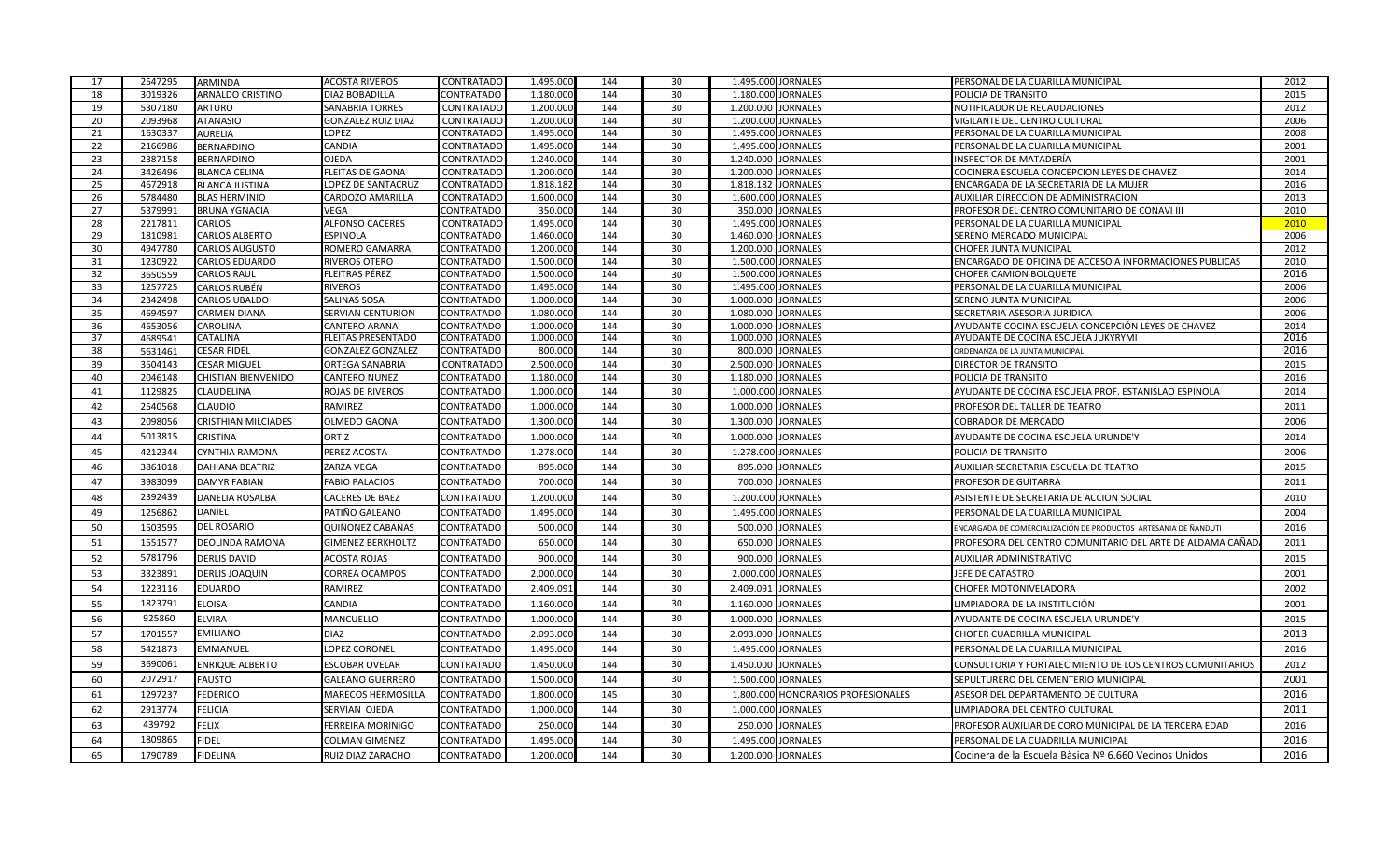| 17       | 2547295            | <b>ARMINDA</b>             | <b>ACOSTA RIVEROS</b>                     | <b>CONTRATADO</b>                      | 1.495.000              | 144        | 30       | 1.495.000 JORNALES                                 | PERSONAL DE LA CUARILLA MUNICIPAL                               | 2012         |
|----------|--------------------|----------------------------|-------------------------------------------|----------------------------------------|------------------------|------------|----------|----------------------------------------------------|-----------------------------------------------------------------|--------------|
| 18       | 3019326            | <b>ARNALDO CRISTINO</b>    | <b>DIAZ BOBADILLA</b>                     | <b>CONTRATADO</b>                      | 1.180.000              | 144        | 30       | 1.180.000 JORNALES                                 | POLICIA DE TRANSITO                                             | 2015         |
| 19       | 5307180            | <b>ARTURO</b>              | <b>SANABRIA TORRES</b>                    | <b>CONTRATADO</b>                      | 1.200.000              | 144        | 30       | 1.200.000 JORNALES                                 | NOTIFICADOR DE RECAUDACIONES                                    | 2012         |
| 20       | 2093968            | <b>ATANASIO</b>            | <b>GONZALEZ RUIZ DIAZ</b>                 | CONTRATADO                             | 1.200.000              | 144        | 30       | <b>JORNALES</b><br>1.200.000                       | VIGILANTE DEL CENTRO CULTURAL                                   | 2006         |
| 21       | 1630337            | <b>AURELIA</b>             | LOPEZ                                     | <b>CONTRATADO</b>                      | 1.495.000              | 144        | 30       | 1.495.000<br><b>JORNALES</b>                       | PERSONAL DE LA CUARILLA MUNICIPAL                               | 2008         |
| 22       | 2166986            | <b>BERNARDINO</b>          | CANDIA                                    | <b>CONTRATADO</b>                      | 1.495.000              | 144        | 30       | <b>JORNALES</b><br>1.495.000                       | PERSONAL DE LA CUARILLA MUNICIPAL                               | 2001         |
| 23       | 2387158            | BERNARDINO                 | <b>OJEDA</b>                              | CONTRATADO                             | 1.240.000              | 144        | 30       | 1.240.000 JORNALES                                 | INSPECTOR DE MATADERÍA                                          | 2001         |
| 24       | 3426496            | <b>BLANCA CELINA</b>       | <b>FLEITAS DE GAONA</b>                   | <b>CONTRATADO</b>                      | 1.200.000              | 144        | 30       | 1.200.000<br><b>JORNALES</b>                       | COCINERA ESCUELA CONCEPCION LEYES DE CHAVEZ                     | 2014         |
| 25       | 4672918            | <b>BLANCA JUSTINA</b>      | OPEZ DE SANTACRUZ                         | <b>CONTRATADO</b>                      | 1.818.182              | 144        | 30       | <b>JORNALES</b><br>1.818.182                       | ENCARGADA DE LA SECRETARIA DE LA MUJER                          | 2016         |
| 26       | 5784480            | <b>BLAS HERMINIO</b>       | CARDOZO AMARILLA                          | CONTRATADO                             | 1.600.00               | 144        | 30       | 1.600.000<br><b>JORNALES</b>                       | AUXILIAR DIRECCION DE ADMINISTRACION                            | 2013         |
| 27       | 5379991            | <b>BRUNA YGNACIA</b>       | /EGA                                      | <b>CONTRATADO</b>                      | 350.000                | 144        | 30       | 350.000<br><b>JORNALES</b>                         | PROFESOR DEL CENTRO COMUNITARIO DE CONAVI III                   | 2010         |
| 28<br>29 | 2217811<br>1810981 | CARLOS<br>CARLOS ALBERTO   | <b>ALFONSO CACERES</b><br><b>ESPINOLA</b> | <b>CONTRATADO</b><br><b>CONTRATADO</b> | 1.495.000<br>1.460.000 | 144<br>144 | 30<br>30 | 1.495.000 JORNALES<br>1.460.000<br><b>JORNALES</b> | PERSONAL DE LA CUARILLA MUNICIPAL<br>SERENO MERCADO MUNICIPAL   | 2010<br>2006 |
| 30       | 4947780            | <b>CARLOS AUGUSTO</b>      | ROMERO GAMARRA                            | <b>CONTRATADO</b>                      | 1.200.000              | 144        | 30       | 1.200.000<br><b>JORNALES</b>                       | CHOFER JUNTA MUNICIPAL                                          | 2012         |
| 31       | 1230922            | <b>CARLOS EDUARDO</b>      | RIVEROS OTERO                             | CONTRATADO                             | 1.500.000              | 144        | 30       | 1.500.000<br><b>JORNALES</b>                       | ENCARGADO DE OFICINA DE ACCESO A INFORMACIONES PUBLICAS         | 2010         |
| 32       | 3650559            | <b>CARLOS RAUL</b>         | FLEITRAS PÉREZ                            | <b>CONTRATADO</b>                      | 1.500.000              | 144        | 30       | 1.500.000 JORNALES                                 | <b>CHOFER CAMION BOLQUETE</b>                                   | 2016         |
| 33       | 1257725            | <b>CARLOS RUBÉN</b>        | <b>RIVEROS</b>                            | CONTRATADO                             | 1.495.000              | 144        | 30       | 1.495.000 JORNALES                                 | PERSONAL DE LA CUARILLA MUNICIPAL                               | 2006         |
| 34       | 2342498            | <b>CARLOS UBALDO</b>       | SALINAS SOSA                              | <b>CONTRATADO</b>                      | 1.000.000              | 144        | 30       | 1.000.000<br><b>JORNALES</b>                       | SERENO JUNTA MUNICIPAL                                          | 2006         |
| 35       | 4694597            | <b>CARMEN DIANA</b>        | SERVIAN CENTURION                         | <b>CONTRATADO</b>                      | 1.080.000              | 144        | 30       | 1.080.000<br><b>JORNALES</b>                       | SECRETARIA ASESORIA JURIDICA                                    | 2006         |
| 36       | 4653056            | CAROLINA                   | CANTERO ARANA                             | <b>CONTRATADO</b>                      | 1.000.000              | 144        | 30       | 1.000.000<br><b>JORNALES</b>                       | AYUDANTE COCINA ESCUELA CONCEPCIÓN LEYES DE CHAVEZ              | 2014         |
| 37       | 4689541            | <b>CATALINA</b>            | FLEITAS PRESENTADO                        | <b>CONTRATADO</b>                      | 1.000.000              | 144        | 30       | 1.000.000 JORNALES                                 | AYUDANTE DE COCINA ESCUELA JUKYRYMI                             | 2016         |
| 38       | 5631461            | <b>CESAR FIDEL</b>         | <b>GONZALEZ GONZALEZ</b>                  | <b>CONTRATADO</b>                      | 800.000                | 144        | 30       | 800.000 JORNALES                                   | ORDENANZA DE LA JUNTA MUNICIPAL                                 | 2016         |
| 39       | 3504143            | <b>CESAR MIGUEL</b>        | ORTEGA SANABRIA                           | <b>CONTRATADO</b>                      | 2.500.00               | 144        | 30       | 2.500.000<br><b>JORNALES</b>                       | DIRECTOR DE TRANSITO                                            | 2015         |
| 40       | 2046148            | <b>CHISTIAN BIENVENIDO</b> | CANTERO NUNEZ                             | CONTRATADO                             | 1.180.000              | 144        | 30       | 1.180.000<br><b>JORNALES</b>                       | POLICIA DE TRANSITO                                             | 2016         |
| 41       | 1129825            | CLAUDELINA                 | ROJAS DE RIVEROS                          | <b>CONTRATADO</b>                      | 1.000.000              | 144        | 30       | 1.000.000<br><b>JORNALES</b>                       | AYUDANTE DE COCINA ESCUELA PROF. ESTANISLAO ESPINOLA            | 2014         |
| 42       | 2540568            | CLAUDIO                    | RAMIREZ                                   | <b>CONTRATADO</b>                      | 1.000.000              | 144        | 30       | 1.000.000<br><b>JORNALES</b>                       | PROFESOR DEL TALLER DE TEATRO                                   | 2011         |
| 43       | 2098056            | <b>CRISTHIAN MILCIADES</b> | <b>OLMEDO GAONA</b>                       | <b>CONTRATADO</b>                      | 1.300.000              | 144        | 30       | 1.300.000<br><b>JORNALES</b>                       | COBRADOR DE MERCADO                                             | 2006         |
| 44       | 5013815            | CRISTINA                   | ORTIZ                                     | <b>CONTRATADO</b>                      | 1.000.000              | 144        | 30       | 1.000.000<br><b>JORNALES</b>                       | AYUDANTE DE COCINA ESCUELA URUNDE'Y                             | 2014         |
| 45       | 4212344            | CYNTHIA RAMONA             | PEREZ ACOSTA                              | CONTRATADO                             | 1.278.000              | 144        | 30       | <b>JORNALES</b><br>1.278.000                       | POLICIA DE TRANSITO                                             | 2006         |
| 46       | 3861018            | <b>DAHIANA BEATRIZ</b>     | ZARZA VEGA                                | <b>CONTRATADO</b>                      | 895.000                | 144        | 30       | 895.000<br><b>JORNALES</b>                         | AUXILIAR SECRETARIA ESCUELA DE TEATRO                           | 2015         |
| 47       | 3983099            | <b>DAMYR FABIAN</b>        | <b>FABIO PALACIOS</b>                     | <b>CONTRATADO</b>                      | 700.000                | 144        | 30       | 700.000<br><b>JORNALES</b>                         | PROFESOR DE GUITARRA                                            | 2011         |
| 48       | 2392439            | <b>DANELIA ROSALBA</b>     | CACERES DE BAEZ                           | CONTRATADO                             | 1.200.000              | 144        | 30       | 1.200.000<br><b>JORNALES</b>                       | ASISTENTE DE SECRETARIA DE ACCION SOCIAL                        | 2010         |
| 49       | 1256862            | DANIEL                     | PATIÑO GALEANO                            | <b>CONTRATADO</b>                      | 1.495.000              | 144        | 30       | 1.495.000<br><b>JORNALES</b>                       | PERSONAL DE LA CUARILLA MUNICIPAL                               | 2004         |
| 50       | 1503595            | <b>DEL ROSARIO</b>         | QUIÑONEZ CABAÑAS                          | <b>CONTRATADO</b>                      | 500.000                | 144        | 30       | 500.000<br><b>JORNALES</b>                         |                                                                 |              |
|          |                    |                            |                                           |                                        |                        |            |          |                                                    | ENCARGADA DE COMERCIALIZACIÓN DE PRODUCTOS ARTESANIA DE ÑANDUTI | 2016         |
| 51       | 1551577            | <b>DEOLINDA RAMONA</b>     | <b>GIMENEZ BERKHOLTZ</b>                  | <b>CONTRATADO</b>                      | 650.000                | 144        | 30       | 650.000<br><b>JORNALES</b>                         | PROFESORA DEL CENTRO COMUNITARIO DEL ARTE DE ALDAMA CAÑAD       | 2011         |
| 52       | 5781796            | <b>DERLIS DAVID</b>        | <b>ACOSTA ROJAS</b>                       | <b>CONTRATADO</b>                      | 900.000                | 144        | 30       | 900.000<br><b>JORNALES</b>                         | AUXILIAR ADMINISTRATIVO                                         | 2015         |
| 53       | 3323891            | <b>DERLIS JOAQUIN</b>      | CORREA OCAMPOS                            | <b>CONTRATADO</b>                      | 2.000.000              | 144        | 30       | 2.000.000<br><b>JORNALES</b>                       | JEFE DE CATASTRO                                                | 2001         |
| 54       | 1223116            | <b>EDUARDO</b>             | RAMIREZ                                   | <b>CONTRATADO</b>                      | 2.409.091              | 144        | 30       | 2.409.091<br><b>JORNALES</b>                       | CHOFER MOTONIVELADORA                                           | 2002         |
| 55       | 1823791            | <b>ELOISA</b>              | CANDIA                                    | CONTRATADO                             | 1.160.000              | 144        | 30       | 1.160.000<br><b>JORNALES</b>                       | LIMPIADORA DE LA INSTITUCIÓN                                    | 2001         |
| 56       | 925860             | ELVIRA                     | MANCUELLO                                 | CONTRATADO                             | 1.000.000              | 144        | 30       | 1.000.000<br><b>JORNALES</b>                       | AYUDANTE DE COCINA ESCUELA URUNDE'Y                             | 2015         |
| 57       | 1701557            | <b>EMILIANO</b>            | <b>DIAZ</b>                               | CONTRATADO                             | 2.093.000              | 144        | 30       | 2.093.000<br><b>JORNALES</b>                       | CHOFER CUADRILLA MUNICIPAL                                      | 2013         |
| 58       | 5421873            | <b>EMMANUEL</b>            | LOPEZ CORONEL                             | CONTRATADO                             | 1.495.000              | 144        | 30       | 1.495.000<br><b>JORNALES</b>                       | PERSONAL DE LA CUARILLA MUNICIPAL                               | 2016         |
| 59       | 3690061            | <b>ENRIQUE ALBERTO</b>     | ESCOBAR OVELAR                            | CONTRATADO                             | 1.450.000              | 144        | 30       | 1.450.000 JORNALES                                 | CONSULTORIA Y FORTALECIMIENTO DE LOS CENTROS COMUNITARIOS       | 2012         |
| 60       | 2072917            | <b>FAUSTO</b>              | <b>GALEANO GUERRERO</b>                   | <b>CONTRATADO</b>                      | 1.500.000              | 144        | 30       | 1.500.000<br><b>JORNALES</b>                       | SEPULTURERO DEL CEMENTERIO MUNICIPAL                            | 2001         |
| 61       | 1297237            | <b>FEDERICO</b>            | MARECOS HERMOSILLA                        | <b>CONTRATADO</b>                      | 1.800.000              | 145        | 30       | 1.800.000<br>HONORARIOS PROFESIONALES              | ASESOR DEL DEPARTAMENTO DE CULTURA                              | 2016         |
| 62       | 2913774            | <b>FELICIA</b>             | SERVIAN OJEDA                             | <b>CONTRATADO</b>                      | 1.000.000              | 144        | 30       | 1.000.000 JORNALES                                 | LIMPIADORA DEL CENTRO CULTURAL                                  | 2011         |
| 63       | 439792             | <b>FELIX</b>               | <b>FERREIRA MORINIGO</b>                  | <b>CONTRATADO</b>                      | 250.000                | 144        | 30       | 250.000<br><b>JORNALES</b>                         | PROFESOR AUXILIAR DE CORO MUNICIPAL DE LA TERCERA EDAD          | 2016         |
| 64       | 1809865            | <b>FIDEL</b>               | COLMAN GIMENEZ                            | <b>CONTRATADO</b>                      | 1.495.000              | 144        | 30       | 1.495.000<br><b>JORNALES</b>                       | PERSONAL DE LA CUADRILLA MUNICIPAL                              | 2016         |
| 65       | 1790789            | <b>FIDELINA</b>            | RUIZ DIAZ ZARACHO                         | <b>CONTRATADO</b>                      | 1.200.000              | 144        | 30       | 1.200.000 JORNALES                                 | Cocinera de la Escuela Bàsica Nº 6.660 Vecinos Unidos           | 2016         |
|          |                    |                            |                                           |                                        |                        |            |          |                                                    |                                                                 |              |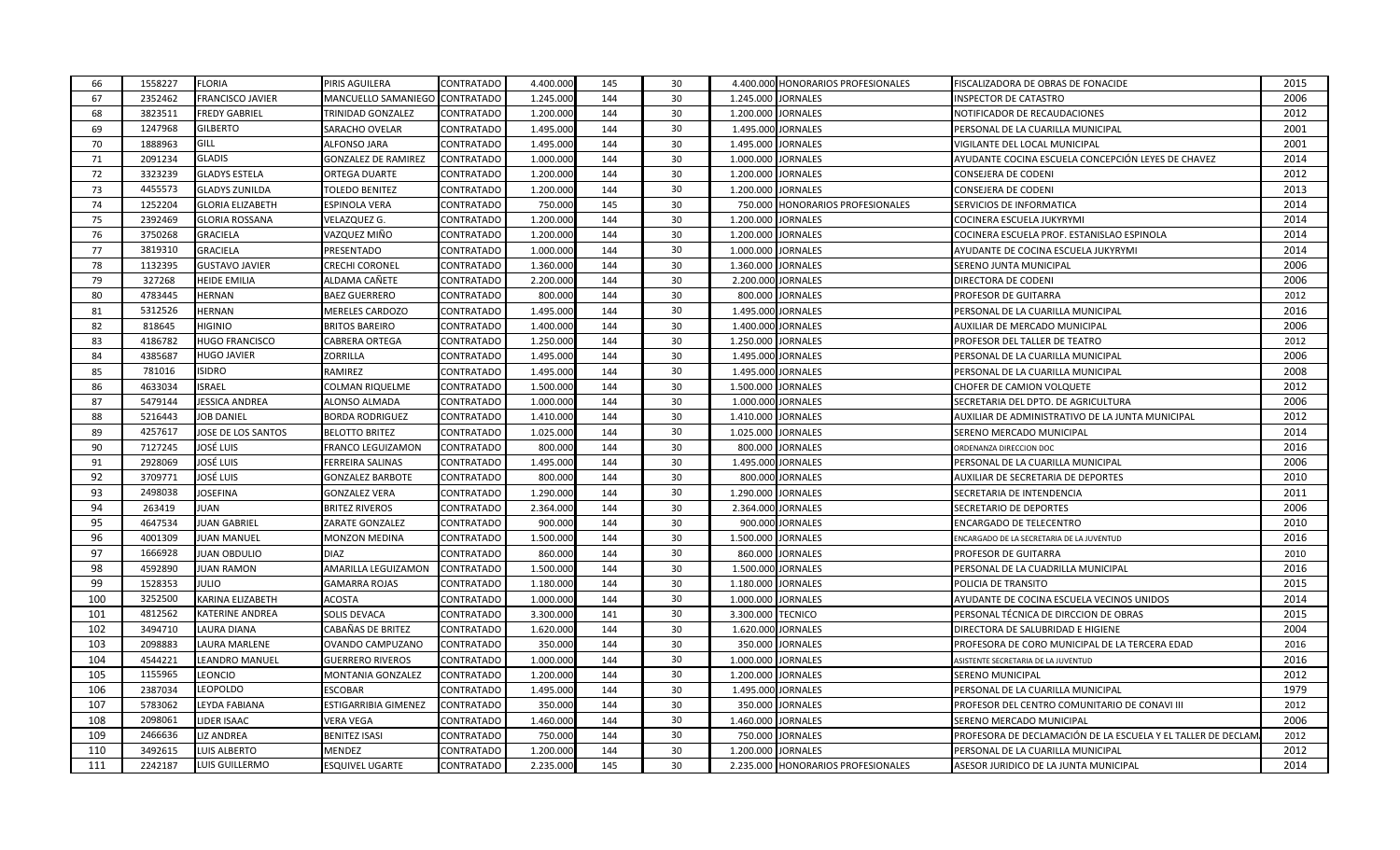| 66  | 1558227 | <b>FLORIA</b>           | PIRIS AGUILERA                 | <b>CONTRATADO</b> | 4.400.000 | 145 | 30 |                    | 4.400.000 HONORARIOS PROFESIONALES | FISCALIZADORA DE OBRAS DE FONACIDE                           | 2015 |
|-----|---------|-------------------------|--------------------------------|-------------------|-----------|-----|----|--------------------|------------------------------------|--------------------------------------------------------------|------|
| 67  | 2352462 | <b>FRANCISCO JAVIER</b> | MANCUELLO SAMANIEGO CONTRATADO |                   | 1.245.000 | 144 | 30 | 1.245.000 JORNALES |                                    | <b>INSPECTOR DE CATASTRO</b>                                 | 2006 |
| 68  | 3823511 | <b>FREDY GABRIEL</b>    | TRINIDAD GONZALEZ              | CONTRATADO        | 1.200.000 | 144 | 30 | 1.200.000          | <b>JORNALES</b>                    | NOTIFICADOR DE RECAUDACIONES                                 | 2012 |
| 69  | 1247968 | <b>GILBERTO</b>         | SARACHO OVELAR                 | <b>CONTRATADO</b> | 1.495.000 | 144 | 30 | 1.495.000 JORNALES |                                    | PERSONAL DE LA CUARILLA MUNICIPAL                            | 2001 |
| 70  | 1888963 | GILL                    | ALFONSO JARA                   | <b>CONTRATADO</b> | 1.495.000 | 144 | 30 | 1.495.000          | <b>JORNALES</b>                    | VIGILANTE DEL LOCAL MUNICIPAL                                | 2001 |
| 71  | 2091234 | <b>GLADIS</b>           | <b>GONZALEZ DE RAMIREZ</b>     | CONTRATADO        | 1.000.000 | 144 | 30 | 1.000.000 JORNALES |                                    | AYUDANTE COCINA ESCUELA CONCEPCIÓN LEYES DE CHAVEZ           | 2014 |
| 72  | 3323239 | <b>GLADYS ESTELA</b>    | <b>ORTEGA DUARTE</b>           | CONTRATADO        | 1.200.000 | 144 | 30 | 1.200.000          | <b>JORNALES</b>                    | CONSEJERA DE CODENI                                          | 2012 |
| 73  | 4455573 | <b>GLADYS ZUNILDA</b>   | TOLEDO BENITEZ                 | CONTRATADO        | 1.200.000 | 144 | 30 | 1.200.000          | <b>JORNALES</b>                    | CONSEJERA DE CODENI                                          | 2013 |
| 74  | 1252204 | <b>GLORIA ELIZABETH</b> | ESPINOLA VERA                  | <b>CONTRATADO</b> | 750.000   | 145 | 30 | 750.000            | HONORARIOS PROFESIONALES           | SERVICIOS DE INFORMATICA                                     | 2014 |
| 75  | 2392469 | <b>GLORIA ROSSANA</b>   | VELAZQUEZ G.                   | CONTRATADO        | 1.200.000 | 144 | 30 | 1.200.000          | <b>JORNALES</b>                    | COCINERA ESCUELA JUKYRYMI                                    | 2014 |
| 76  | 3750268 | <b>GRACIELA</b>         | /AZQUEZ MIÑO                   | CONTRATADO        | 1.200.000 | 144 | 30 | 1.200.000          | <b>JORNALES</b>                    | COCINERA ESCUELA PROF. ESTANISLAO ESPINOLA                   | 2014 |
| 77  | 3819310 | <b>GRACIELA</b>         | PRESENTADO                     | CONTRATADO        | 1.000.000 | 144 | 30 | 1.000.000          | <b>JORNALES</b>                    | AYUDANTE DE COCINA ESCUELA JUKYRYMI                          | 2014 |
| 78  | 1132395 | <b>GUSTAVO JAVIER</b>   | <b>CRECHI CORONEL</b>          | <b>CONTRATADO</b> | 1.360.000 | 144 | 30 | 1.360.000          | <b>JORNALES</b>                    | SERENO JUNTA MUNICIPAL                                       | 2006 |
| 79  | 327268  | <b>HEIDE EMILIA</b>     | ALDAMA CAÑETE                  | CONTRATADO        | 2.200.000 | 144 | 30 | 2.200.000 JORNALES |                                    | DIRECTORA DE CODENI                                          | 2006 |
| 80  | 4783445 | <b>HERNAN</b>           | <b>BAEZ GUERRERO</b>           | CONTRATADO        | 800.000   | 144 | 30 | 800.000            | <b>JORNALES</b>                    | PROFESOR DE GUITARRA                                         | 2012 |
| 81  | 5312526 | <b>HERNAN</b>           | MERELES CARDOZO                | CONTRATADO        | 1.495.000 | 144 | 30 | 1.495.000          | <b>JORNALES</b>                    | PERSONAL DE LA CUARILLA MUNICIPAL                            | 2016 |
| 82  | 818645  | HIGINIO                 | <b>BRITOS BAREIRO</b>          | <b>CONTRATADO</b> | 1.400.000 | 144 | 30 | 1.400.000          | <b>JORNALES</b>                    | AUXILIAR DE MERCADO MUNICIPAL                                | 2006 |
| 83  | 4186782 | <b>HUGO FRANCISCO</b>   | CABRERA ORTEGA                 | <b>CONTRATADO</b> | 1.250.000 | 144 | 30 | 1.250.000 JORNALES |                                    | PROFESOR DEL TALLER DE TEATRO                                | 2012 |
| 84  | 4385687 | <b>HUGO JAVIER</b>      | ZORRILLA                       | CONTRATADO        | 1.495.000 | 144 | 30 | 1.495.000          | <b>JORNALES</b>                    | PERSONAL DE LA CUARILLA MUNICIPAL                            | 2006 |
| 85  | 781016  | <b>ISIDRO</b>           | RAMIREZ                        | CONTRATADO        | 1.495.000 | 144 | 30 | 1.495.000          | <b>JORNALES</b>                    | PERSONAL DE LA CUARILLA MUNICIPAL                            | 2008 |
| 86  | 4633034 | <b>ISRAEL</b>           | <b>COLMAN RIQUELME</b>         | CONTRATADO        | 1.500.000 | 144 | 30 | 1.500.000          | <b>JORNALES</b>                    | CHOFER DE CAMION VOLQUETE                                    | 2012 |
| 87  | 5479144 | JESSICA ANDREA          | ALONSO ALMADA                  | CONTRATADO        | 1.000.000 | 144 | 30 | 1.000.000 JORNALES |                                    | SECRETARIA DEL DPTO. DE AGRICULTURA                          | 2006 |
| 88  | 5216443 | <b>JOB DANIEL</b>       | <b>BORDA RODRIGUEZ</b>         | CONTRATADO        | 1.410.000 | 144 | 30 | 1.410.000          | <b>JORNALES</b>                    | AUXILIAR DE ADMINISTRATIVO DE LA JUNTA MUNICIPAL             | 2012 |
| 89  | 4257617 | JOSE DE LOS SANTOS      | <b>BELOTTO BRITEZ</b>          | CONTRATADO        | 1.025.000 | 144 | 30 | 1.025.000          | <b>JORNALES</b>                    | SERENO MERCADO MUNICIPAL                                     | 2014 |
| 90  | 7127245 | JOSÉ LUIS               | FRANCO LEGUIZAMON              | <b>CONTRATADO</b> | 800.000   | 144 | 30 | 800.000            | <b>JORNALES</b>                    | ORDENANZA DIRECCION DOC                                      | 2016 |
| 91  | 2928069 | JOSÉ LUIS               | FERREIRA SALINAS               | <b>CONTRATADO</b> | 1.495.000 | 144 | 30 | 1.495.000 JORNALES |                                    | PERSONAL DE LA CUARILLA MUNICIPAL                            | 2006 |
| 92  | 3709771 | JOSÉ LUIS               | GONZALEZ BARBOTE               | CONTRATADO        | 800.000   | 144 | 30 |                    | 800.000 JORNALES                   | AUXILIAR DE SECRETARIA DE DEPORTES                           | 2010 |
| 93  | 2498038 | <b>JOSEFINA</b>         | <b>GONZALEZ VERA</b>           | <b>CONTRATADO</b> | 1.290.000 | 144 | 30 | 1.290.000          | <b>JORNALES</b>                    | SECRETARIA DE INTENDENCIA                                    | 2011 |
| 94  | 263419  | JUAN                    | <b>BRITEZ RIVEROS</b>          | CONTRATADO        | 2.364.000 | 144 | 30 | 2.364.000          | <b>JORNALES</b>                    | SECRETARIO DE DEPORTES                                       | 2006 |
| 95  | 4647534 | <b>JUAN GABRIEL</b>     | ZARATE GONZALEZ                | CONTRATADO        | 900.000   | 144 | 30 |                    | 900.000 JORNALES                   | ENCARGADO DE TELECENTRO                                      | 2010 |
| 96  | 4001309 | <b>JUAN MANUEL</b>      | MONZON MEDINA                  | CONTRATADO        | 1.500.000 | 144 | 30 | 1.500.000          | <b>JORNALES</b>                    | ENCARGADO DE LA SECRETARIA DE LA JUVENTUD                    | 2016 |
| 97  | 1666928 | <b>JUAN OBDULIO</b>     | <b>DIAZ</b>                    | CONTRATADO        | 860.000   | 144 | 30 | 860.000            | <b>JORNALES</b>                    | PROFESOR DE GUITARRA                                         | 2010 |
| 98  | 4592890 | <b>JUAN RAMON</b>       | AMARILLA LEGUIZAMON            | <b>CONTRATADO</b> | 1.500.000 | 144 | 30 | 1.500.000          | <b>JORNALES</b>                    | PERSONAL DE LA CUADRILLA MUNICIPAL                           | 2016 |
| 99  | 1528353 | JULIO                   | <b>GAMARRA ROJAS</b>           | CONTRATADO        | 1.180.000 | 144 | 30 | 1.180.000          | <b>JORNALES</b>                    | POLICIA DE TRANSITO                                          | 2015 |
| 100 | 3252500 | KARINA ELIZABETH        | ACOSTA                         | <b>CONTRATADO</b> | 1.000.000 | 144 | 30 | 1.000.000          | <b>JORNALES</b>                    | AYUDANTE DE COCINA ESCUELA VECINOS UNIDOS                    | 2014 |
| 101 | 4812562 | <b>KATERINE ANDREA</b>  | SOLIS DEVACA                   | <b>CONTRATADO</b> | 3.300.000 | 141 | 30 | 3.300.000          | <b>TECNICO</b>                     | PERSONAL TÉCNICA DE DIRCCION DE OBRAS                        | 2015 |
| 102 | 3494710 | LAURA DIANA             | CABAÑAS DE BRITEZ              | CONTRATADO        | 1.620.000 | 144 | 30 | 1.620.000          | <b>JORNALES</b>                    | DIRECTORA DE SALUBRIDAD E HIGIENE                            | 2004 |
| 103 | 2098883 | LAURA MARLENE           | OVANDO CAMPUZANO               | CONTRATADO        | 350.000   | 144 | 30 |                    | 350.000 JORNALES                   | PROFESORA DE CORO MUNICIPAL DE LA TERCERA EDAD               | 2016 |
| 104 | 4544221 | LEANDRO MANUEL          | <b>GUERRERO RIVEROS</b>        | CONTRATADO        | 1.000.000 | 144 | 30 | 1.000.000          | <b>JORNALES</b>                    | ASISTENTE SECRETARIA DE LA JUVENTUD                          | 2016 |
| 105 | 1155965 | LEONCIO                 | MONTANIA GONZALEZ              | CONTRATADO        | 1.200.000 | 144 | 30 | 1.200.000          | <b>JORNALES</b>                    | SERENO MUNICIPAL                                             | 2012 |
| 106 | 2387034 | LEOPOLDO                | ESCOBAR                        | <b>CONTRATADO</b> | 1.495.000 | 144 | 30 | 1.495.000          | <b>JORNALES</b>                    | PERSONAL DE LA CUARILLA MUNICIPAL                            | 1979 |
| 107 | 5783062 | LEYDA FABIANA           | ESTIGARRIBIA GIMENEZ           | CONTRATADO        | 350.000   | 144 | 30 | 350.000            | <b>JORNALES</b>                    | PROFESOR DEL CENTRO COMUNITARIO DE CONAVI III                | 2012 |
| 108 | 2098061 | LIDER ISAAC             | /ERA VEGA                      | CONTRATADO        | 1.460.000 | 144 | 30 | 1.460.000          | <b>JORNALES</b>                    | SERENO MERCADO MUNICIPAL                                     | 2006 |
| 109 | 2466636 | LIZ ANDREA              | BENITEZ ISASI                  | CONTRATADO        | 750.000   | 144 | 30 | 750.000            | <b>JORNALES</b>                    | PROFESORA DE DECLAMACIÓN DE LA ESCUELA Y EL TALLER DE DECLAN | 2012 |
| 110 | 3492615 | LUIS ALBERTO            | MENDEZ                         | CONTRATADO        | 1.200.000 | 144 | 30 | 1.200.000          | <b>JORNALES</b>                    | PERSONAL DE LA CUARILLA MUNICIPAL                            | 2012 |
| 111 | 2242187 | <b>LUIS GUILLERMO</b>   | <b>ESQUIVEL UGARTE</b>         | CONTRATADO        | 2.235.000 | 145 | 30 |                    | 2.235.000 HONORARIOS PROFESIONALES | ASESOR JURIDICO DE LA JUNTA MUNICIPAL                        | 2014 |
|     |         |                         |                                |                   |           |     |    |                    |                                    |                                                              |      |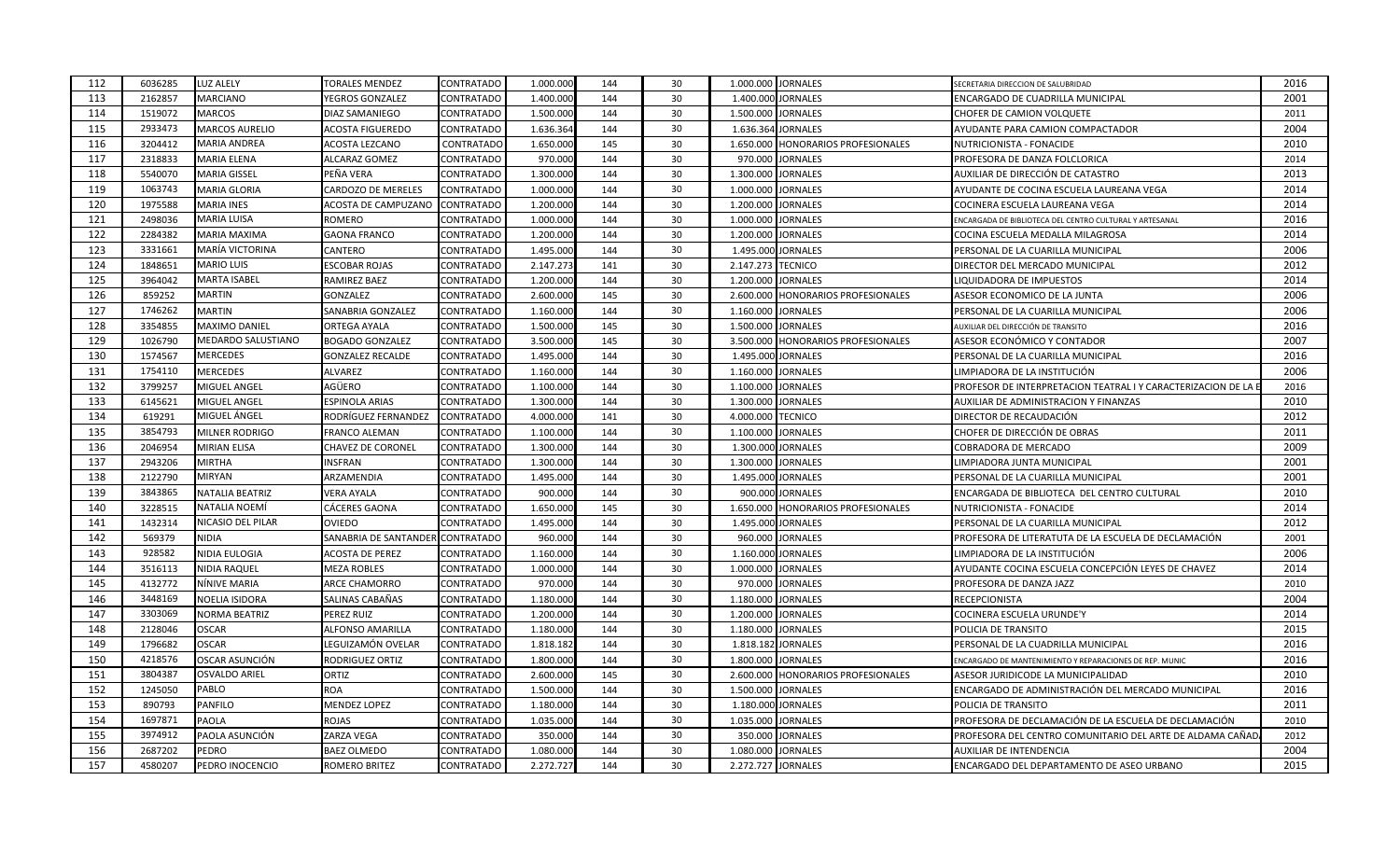| 2001<br>ENCARGADO DE CUADRILLA MUNICIPAL<br>2011<br>CHOFER DE CAMION VOLQUETE<br>2004<br>AYUDANTE PARA CAMION COMPACTADOR<br>2010<br>PROFESORA DE DANZA FOLCLORICA<br>2014<br>2013<br>AUXILIAR DE DIRECCIÓN DE CATASTRO |
|-------------------------------------------------------------------------------------------------------------------------------------------------------------------------------------------------------------------------|
|                                                                                                                                                                                                                         |
|                                                                                                                                                                                                                         |
|                                                                                                                                                                                                                         |
|                                                                                                                                                                                                                         |
|                                                                                                                                                                                                                         |
|                                                                                                                                                                                                                         |
| 2014<br>AYUDANTE DE COCINA ESCUELA LAUREANA VEGA                                                                                                                                                                        |
| 2014<br>COCINERA ESCUELA LAUREANA VEGA                                                                                                                                                                                  |
| 2016<br>ENCARGADA DE BIBLIOTECA DEL CENTRO CULTURAL Y ARTESANAL                                                                                                                                                         |
| 2014<br>COCINA ESCUELA MEDALLA MILAGROSA                                                                                                                                                                                |
| 2006<br>PERSONAL DE LA CUARILLA MUNICIPAL                                                                                                                                                                               |
| 2012<br>DIRECTOR DEL MERCADO MUNICIPAL                                                                                                                                                                                  |
| 2014                                                                                                                                                                                                                    |
| 2006<br>ASESOR ECONOMICO DE LA JUNTA                                                                                                                                                                                    |
| 2006<br>PERSONAL DE LA CUARILLA MUNICIPAL                                                                                                                                                                               |
| 2016                                                                                                                                                                                                                    |
| 2007<br>ASESOR ECONÓMICO Y CONTADOR                                                                                                                                                                                     |
| 2016<br>PERSONAL DE LA CUARILLA MUNICIPAL                                                                                                                                                                               |
| 2006<br>LIMPIADORA DE LA INSTITUCIÓN                                                                                                                                                                                    |
| 2016<br>PROFESOR DE INTERPRETACION TEATRAL I Y CARACTERIZACION DE LA                                                                                                                                                    |
| 2010<br>AUXILIAR DE ADMINISTRACION Y FINANZAS                                                                                                                                                                           |
| 2012                                                                                                                                                                                                                    |
| 2011<br>CHOFER DE DIRECCIÓN DE OBRAS                                                                                                                                                                                    |
| 2009                                                                                                                                                                                                                    |
| 2001<br>LIMPIADORA JUNTA MUNICIPAL                                                                                                                                                                                      |
| 2001<br>PERSONAL DE LA CUARILLA MUNICIPAL                                                                                                                                                                               |
| 2010<br>ENCARGADA DE BIBLIOTECA DEL CENTRO CULTURAL                                                                                                                                                                     |
| 2014                                                                                                                                                                                                                    |
| 2012<br>PERSONAL DE LA CUARILLA MUNICIPAL                                                                                                                                                                               |
| PROFESORA DE LITERATUTA DE LA ESCUELA DE DECLAMACIÓN<br>2001                                                                                                                                                            |
| 2006<br>LIMPIADORA DE LA INSTITUCIÓN                                                                                                                                                                                    |
| AYUDANTE COCINA ESCUELA CONCEPCIÓN LEYES DE CHAVEZ<br>2014                                                                                                                                                              |
| 2010                                                                                                                                                                                                                    |
| 2004                                                                                                                                                                                                                    |
| 2014                                                                                                                                                                                                                    |
| 2015                                                                                                                                                                                                                    |
| 2016<br>PERSONAL DE LA CUADRILLA MUNICIPAL                                                                                                                                                                              |
| 2016<br>ENCARGADO DE MANTENIMIENTO Y REPARACIONES DE REP. MUNIC                                                                                                                                                         |
| 2010<br>ASESOR JURIDICODE LA MUNICIPALIDAD                                                                                                                                                                              |
| 2016<br>ENCARGADO DE ADMINISTRACIÓN DEL MERCADO MUNICIPAL                                                                                                                                                               |
| 2011                                                                                                                                                                                                                    |
| PROFESORA DE DECLAMACIÓN DE LA ESCUELA DE DECLAMACIÓN<br>2010                                                                                                                                                           |
| PROFESORA DEL CENTRO COMUNITARIO DEL ARTE DE ALDAMA CAÑAD<br>2012                                                                                                                                                       |
| 2004                                                                                                                                                                                                                    |
| 2015<br>ENCARGADO DEL DEPARTAMENTO DE ASEO URBANO                                                                                                                                                                       |
| <b>IQUIDADORA DE IMPUESTOS</b><br>AUXILIAR DEL DIRECCIÓN DE TRANSITO<br>COCINERA ESCUELA URUNDE'Y                                                                                                                       |